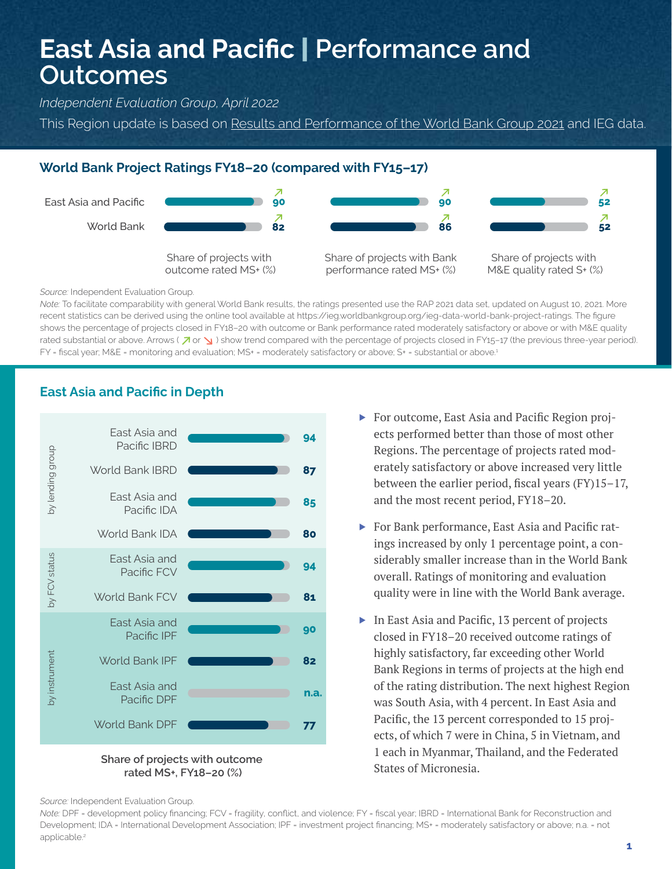# **East Asia and Pacific** | **Performance and Outcomes**

*Independent Evaluation Group, April 2022*

This Region update is based on [Results and Performance of the World Bank Group 2021](https://ieg.worldbankgroup.org/evaluations/results-and-performance-world-bank-group-2021) and IEG data.

#### **World Bank Project Ratings FY18–20 (compared with FY15–17)**



*Source:* Independent Evaluation Group.

*Note:* To facilitate comparability with general World Bank results, the ratings presented use the RAP 2021 data set, updated on August 10, 2021. More recent statistics can be derived using the online tool available at https://ieg.worldbankgroup.org/ieg-data-world-bank-project-ratings. The figure shows the percentage of projects closed in FY18–20 with outcome or Bank performance rated moderately satisfactory or above or with M&E quality rated substantial or above. Arrows ( $\lambda \propto$ ) show trend compared with the percentage of projects closed in FY15-17 (the previous three-year period). FY = fiscal year; M&E = monitoring and evaluation; MS+ = moderately satisfactory or above; S+ = substantial or above.<sup>1</sup>



### **East Asia and Pacific in Depth**

**rated MS+, FY18–20 (%)**

- ▶ For outcome, East Asia and Pacific Region projects performed better than those of most other Regions. The percentage of projects rated moderately satisfactory or above increased very little between the earlier period, fiscal years (FY)15–17, and the most recent period, FY18–20.
- ▶ For Bank performance, East Asia and Pacific ratings increased by only 1 percentage point, a considerably smaller increase than in the World Bank overall. Ratings of monitoring and evaluation quality were in line with the World Bank average.
- ▶ In East Asia and Pacific, 13 percent of projects closed in FY18–20 received outcome ratings of highly satisfactory, far exceeding other World Bank Regions in terms of projects at the high end of the rating distribution. The next highest Region was South Asia, with 4 percent. In East Asia and Pacific, the 13 percent corresponded to 15 projects, of which 7 were in China, 5 in Vietnam, and 1 each in Myanmar, Thailand, and the Federated States of Micronesia.

*Source:* Independent Evaluation Group.

*Note:* DPF = development policy financing; FCV = fragility, conflict, and violence; FY = fiscal year; IBRD = International Bank for Reconstruction and Development; IDA = International Development Association; IPF = investment project financing; MS+ = moderately satisfactory or above; n.a. = not applicable.<sup>2</sup>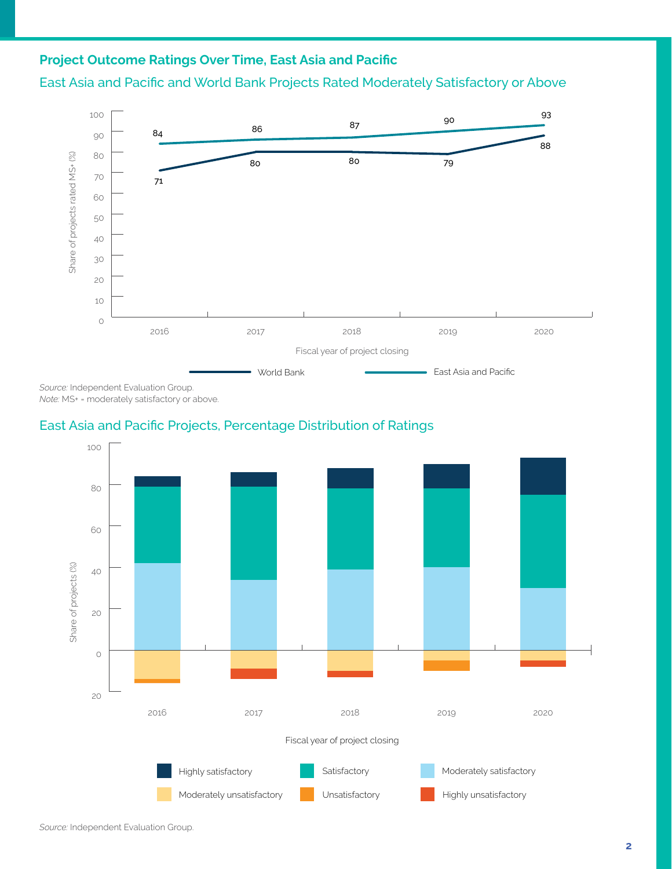## **Project Outcome Ratings Over Time, East Asia and Pacific**

#### East Asia and Pacific and World Bank Projects Rated Moderately Satisfactory or Above



*Source:* Independent Evaluation Group. *Note:* MS+ = moderately satisfactory or above.

#### East Asia and Pacific Projects, Percentage Distribution of Ratings